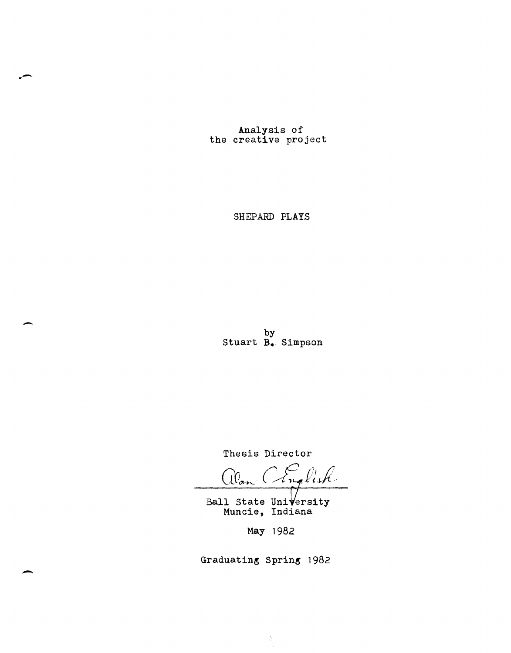### Analysis of the creative project

**.-**

-

-

SHEPARD PLAYS

by Stuart **B.** Simpson

Thesis Director

English alan (

Ball State University<br>Muncie, Indiana

May 1982

Graduating Spring 1982

Å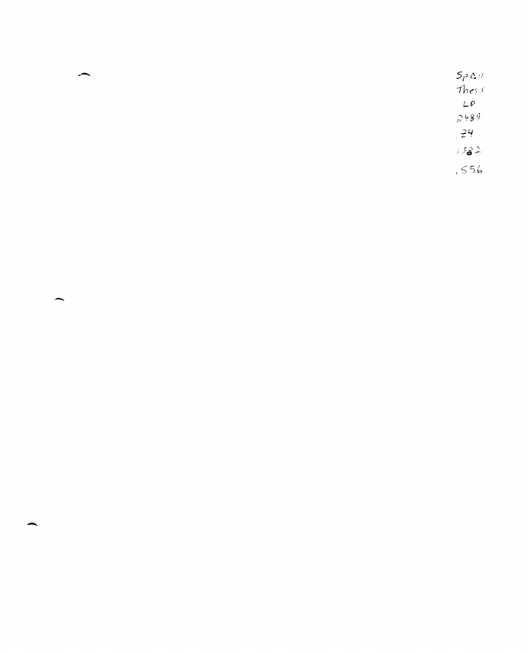$Sp\Delta t$ Thesis  $LP$  $2489$  $74$  $1282$  $, 556$ 

 $\overline{\phantom{0}}$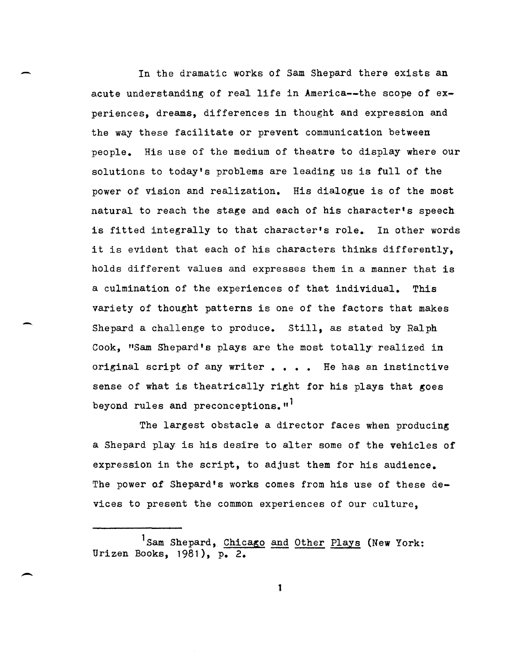In the dramatic works of Sam Shepard there exists an acute understanding of real life in America--the scope of experiences, dreams, differences in thought and expression and the way these facilitate or prevent communication between people. His use of the medium of theatre to display where our solutions to today's problems are leading us is full of the power of vision and realization. His dialogue is of the most natural to reach the stage and each of his character's speech is fitted integrally to that character's role. In other words it is evident that each of his characters thinks differently, holds different values and expresses them in a manner that is a culmination of the experiences of that individual. This variety of thought patterns is one of the factors that makes Shepard a challenge to produce. Still, as stated by Ralph Cook, "Sam Shepard's plays are the most totally'realized in original script of any writer . . . Fe has an instinctive sense of what is theatrically right for his plays that goes beyond rules and preconceptions."<sup>1</sup>

-

-

The largest obstacle a director faces when producing a Shepard play is his desire to alter some of the vehicles of expression in the script, to adjust them for his audience. The power of Shepard's works comes from his use of these devices to present the common experiences of our culture,

<sup>&</sup>lt;sup>1</sup>Sam Shepard, Chicago and Other Plays (New York: Urizen Books, 1981), p. 2.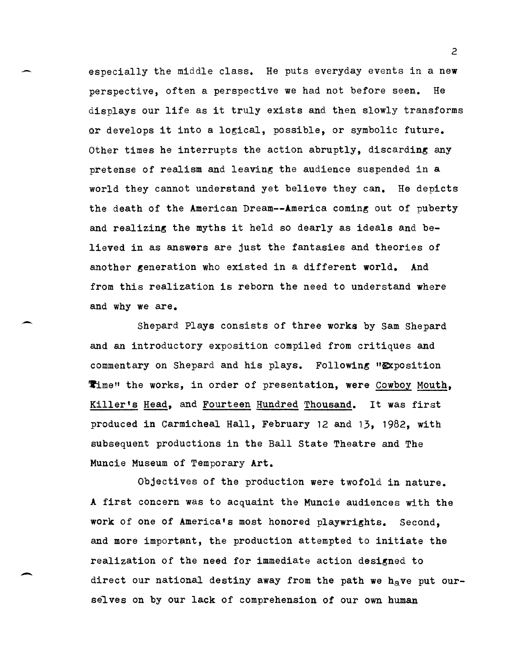especially the middle class. He puts everyday events in a new perspective, often a perspective we had not before seen. He displays our life as it truly exists and then slowly transforms or develops it into a logical, possible, or symbolic future. Other times he interrupts the action abruptly, discarding any pretense of realism and leaving the audience suspended in a world they cannot understand yet believe they can. He depicts the death of the American Dream--America coming out of puberty and realizing the myths it held so dearly as ideals and believed in as answers are just the fantasies and theories of another generation who existed in a different world. And from this realization is reborn the need to understand where and why we are.

Shepard Plays consists of three works by Sam Shepard and an introductory exposition compiled from critiques and commentary on Shepard and his plays. Following "Exposition Time" the works, in order of presentation, were Cowboy Mouth, Killer's Head, and Fourteen Hundred Thousand. It was first produced in Carmicheal Hall, February 12 and 13, 1982, with subsequent productions in the Ball State Theatre and The Muncie Museum of Temporary Art.

-

 $\overline{\phantom{0}}$ 

Objectives of the production were twofold in nature. A first concern was to acquaint the Muncie audiences with the work of one of America's most honored playwrights. Second. and more important, the production attempted to initiate the realization of the need for immediate action designed to direct our national destiny away from the path we have put ourselves on by our lack of comprehension of our own human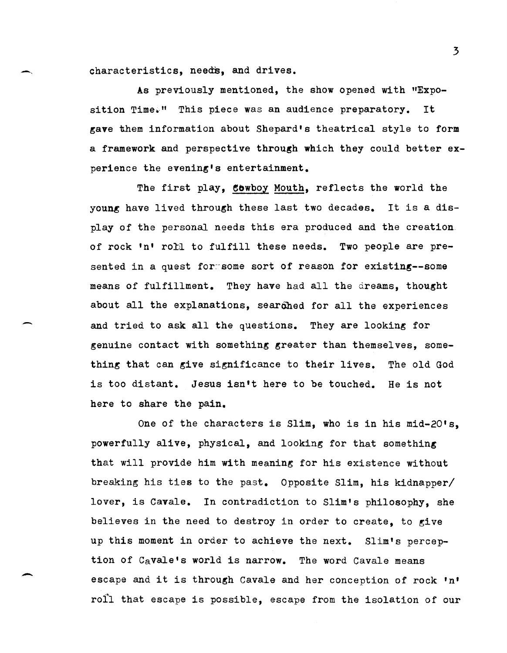characteristics, needs, and drives.

 $\overline{\phantom{0}}$ 

-

As previously mentioned, the show opened with "Exposition Time." This piece was an audience preparatory. It gave them information about Shepard's theatrical style to form a framework and perspective through which they could better experience the evening's entertainment.

The first play, Cowboy Mouth, reflects the world the young have lived through these last two decades. It is a display of the personal needs this era produced and the creation of rock 'n' roll to fulfill these needs. Two people are presented in a quest for some sort of reason for existing--some means of fulfillment. They have had all the dreams, thought about all the explanations, searched for all the experiences and tried to ask all the questions. They are looking for genuine contact with something greater than themselves, something that can give significance to their lives. The old God is too distant. Jesus isn't here to be touched. He is not here to share the pain.

One of the characters is Slim, who is in his mid-20's, powerfully alive, physical, and looking for that something that will provide him with meaning for his existence without breaking his ties to the past. Opposite Slim, his kidnapper/ lover, is Cavale. In contradiction to Slim's philosophy, she believes in the need to destroy in order to create, to give up this moment in order to achieve the next. Slim's perception of Cavale's world is narrow. The word Cavale means escape and it is through Cavale and her conception of rock 'n' rofl that escape is possible, escape from the isolation of our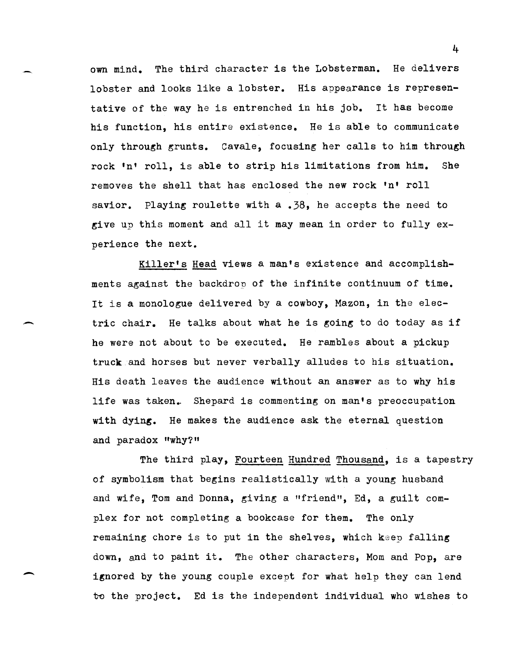own mind. The third character is the Lobsterman. He delivers lobster and looks like a lobster. His appearance is representative of the way he is entrenched in his job. It has become his function, his entire existence. He is able to communicate only through grunts. Cavale, focusing her calls to him through rock 'n' roll, is able to strip his limitations from him. She removes the shell that has enclosed the new rock 'n' roll savior. Playing roulette with a .38, he accepts the need to give up this moment and all it may mean in order to fully experience the next.

Killer's Head views a man's existence and accomplishments against the backdron of the infinite continuum of time. It is a monologue delivered by a cowboy, Mazon, in the electric chair. He talks about what he is going to do today as if he were not about to be executed. He rambles about a pickup truck and horses but never verbally alludes to his situation. His death leaves the audience without an answer as to why his life was taken.. Shepard is commenting on man's preoccupation with dying. He makes the audience ask the eternal question and paradox "why?"

-

.-

The third play, Fourteen Hundred Thousand, is a tapestry of symbolism that begins realistically with a young husband and wife, Tom and Donna, giving a "friend", Ed, a guilt complex for not completing a bookcase for them. The only remaining chore is to put in the shelves, which keep falling down, and to paint it. The other characters, Mom and Pop, are ignored by the young couple except for what help they can lend to the project. Ed is the independent individual who wishes to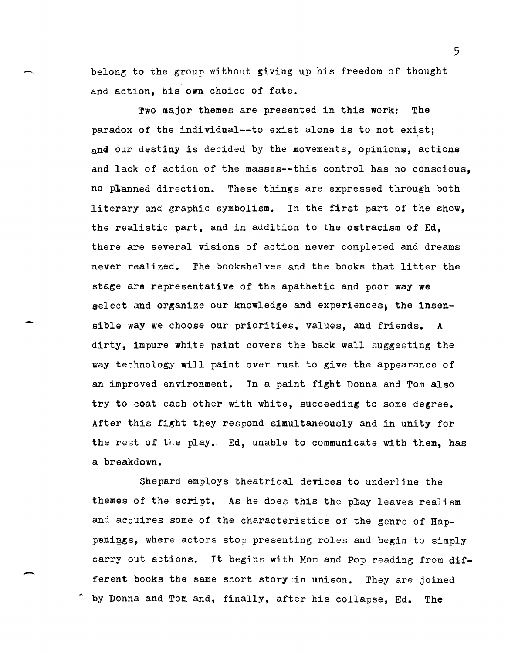belong to the group without giving up his freedom of thought and action, his own choice of fate.

-

-

-

Two major themes are presented in this work: The paradox of the individual--to exist alone is to not exist; and our destiny is decided by the movements, opinions, actions and lack of action of the masses--this control has no conscious, no planned direction. These things are expressed through both literary and graphic symbolism. In the first part of the show, the realistic part, and in addition to the ostracism of Ed, there are several visions of action never completed and dreams never realized. The bookshelves and the books that litter the stage are representative of the apathetic and poor way we select and organize our knowledge and experiences. the insensible way we choose our priorities, values, and friends. A dirty, impure white paint covers the back wall suggesting the way technology will paint over rust to give the appearance of an improved environment. In a paint fight Donna and Tom also try to coat each other with white, succeeding to some degree. After this fight they respond simultaneously and in unity for the rest of the play. Ed, unable to communicate with them, has a breakdown.

Shepard employs theatrical devices to underline the themes of the script. As he does this the play leaves realism and acquires some of the characteristics of the genre of Happenings, where actors stop presenting roles and begin to simply carry out actions. It begins with Mom and Pop reading from different books the same short story in unison. They are joined by Donna and Tom and, finally, after his collapse, Ed. The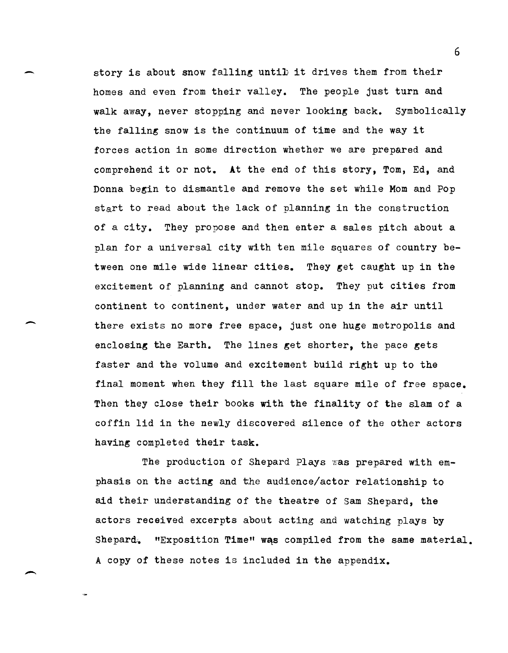story is about snow falling untiD it drives them from their homes and even from their valley. The people just turn and walk away, never stopping and never looking back. Symbolically the falling snow is the continuum of time and the way it forces action in some direction whether we are prepared and comprehend it or not. At the end of this story, Tom, Ed, and Donna begin to dismantle and remove the set while Mom and Pop start to read about the lack of planning in the construction of a city. They propose and then enter a sales pitch about a plan for a universal city with ten mile squares of country between one mile wide linear cities. They get caught up in the excitement of planning and cannot stop. They put cities from continent to continent, under water and up in the air until there exists no more free space, just one huge metropolis and enclosing the Earth. The lines get shorter, the pace gets faster and the volume and excitement build right up to the final moment when they fill the last square mile of free space. Then they close their books with the finality of the slam of a coffin lid in the newly discovered silence of the other actors having completed their task.

 $\overline{\phantom{a}}$ 

-

The production of Shepard Plays was prepared with emphasis on the acting and the audience/actor relationship to aid their understanding of the theatre of Sam Shepard, the actors received excerpts about acting and watching plays by Shepard. "Exposition Time" was compiled from the same material. A copy of these notes is included in the appendix.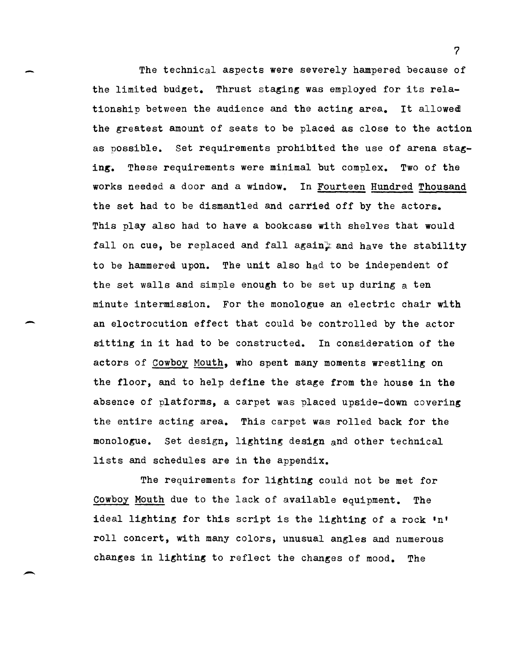The technical aspects were severely hampered because of the limited budget. Thrust staging was employed for its relationship between the audience and the acting area. It allowed the greatest amount of seats to be placed as close to the action as possible. Set requirements prohibited the use of arena staging. These requirements were minimal but complex. Two of the works needed a door and a window. In Fourteen Hundred Thousand the set had to be dismantled and carried off by the actors. This play also had to have a bookcase with shelves that would fall on cue, be replaced and fall again<sub>\*</sub> and have the stability to be hammered upon. The unit also had to be independent of the set walls and simple enough to be set up during a ten minute intermission. For the monologue an electric chair with an eloctrocution effect that could be controlled by the actor sitting in it had to be constructed. In consideration of the actors of Cowboy Mouth, who spent many moments wrestling on the floor, and to help define the stage from the house in the absence of platforms, a carpet was placed upside-down covering the entire acting area. This carpet was rolled back for the monologue. Set design, lighting design and other technical lists and schedules are in the appendix.

The requirements for lighting could not be met for Cowboy Mouth due to the lack of available equipment. The ideal lighting for this script is the lighting of a rock **tn'**  roll concert, with many colors, unusual angles and numerous changes in lighting to reflect the changes of mood. The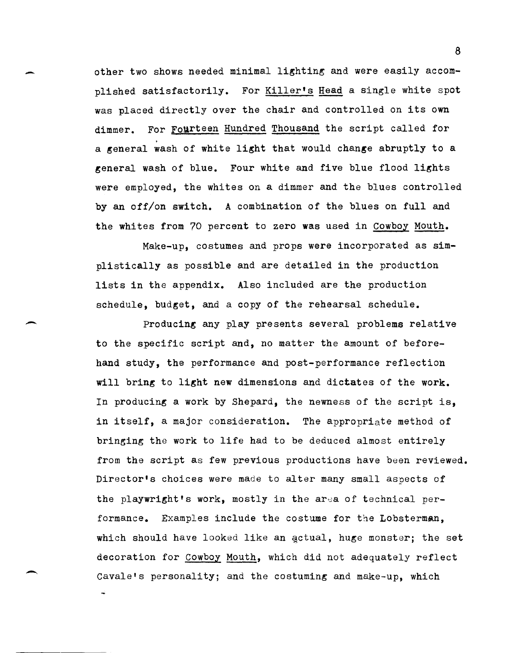other two shows needed minimal lighting and were easily accomplished satisfactorily. For Killer's Head a single white spot was placed directly over the chair and controlled on its own dimmer. For Fourteen Hundred Thousand the script called for<br>a general wash of white light that would change abruptly to a general wash of blue. Four white and five blue flood lights were employed, the whites on a dimmer and the blues controlled by an off/on switch. A combination of the blues on full and the whites from 70 percent to zero was used in Cowboy Mouth.

-

 $\overline{\phantom{0}}$ 

 $\overline{\phantom{a}}$ 

Make-up, costumes and props were incorporated as simplistically as possible and are detailed in the production lists in the appendix. Also included are the production schedule, budget, and a copy of the rehearsal schedule.

Producing any play presents several problems relative to the specific script and, no matter the amount of beforehand study, the performance and post-performance reflection will bring to light new dimensions and dictates of the work. In producing a work by Shepard, the newness of the script is, in itself, a major consideration. The appropriate method of bringing the work to life had to be deduced almost entirely from the script as few previous productions have been reviewed. Director's choices were made to alter many small aspects of the playwright's work, mostly in the area of technical performance. Examples include the costume for the Lobsterman, which should have looked like an actual, huge monster; the set decoration for Cowboy Mouth, which did not adequately reflect Cavale's personality; and the costuming and make-up, which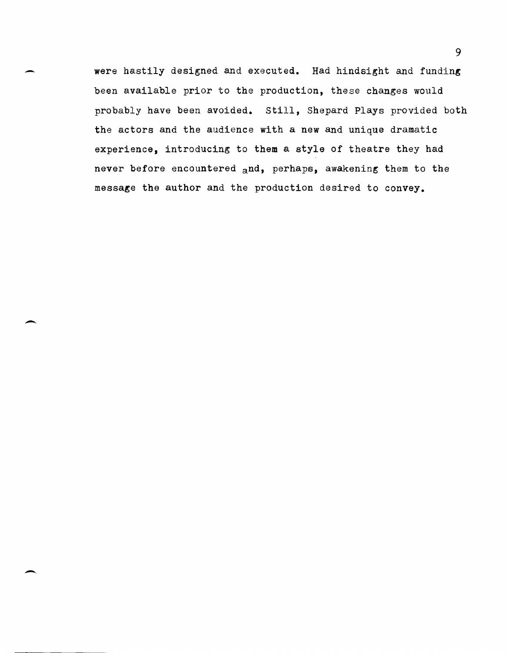were hastily designed and executed. Had hindsight and funding been available prior to the production, these changes would probably have been avoided. Still, Shepard Plays provided both the actors and the audience with a new and unique dramatic experience, introducing to them a style of theatre they had never before encountered and, perhaps, awakening them to the message the author and the production desired to convey.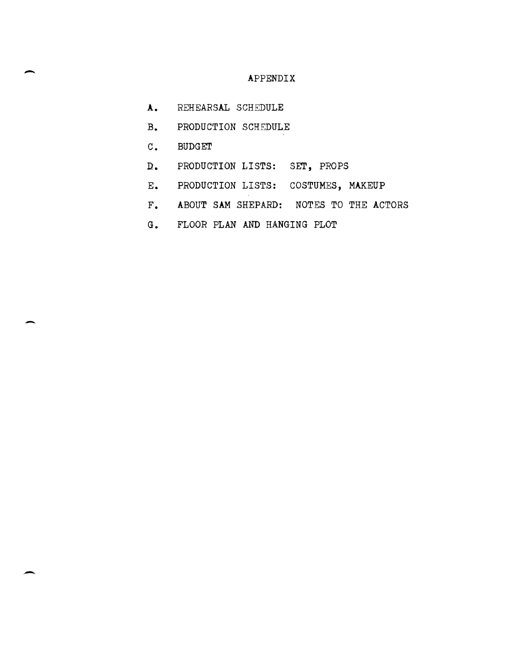# - APPENDIX

- **A.** REHEARSAL SCHEDULE
- B. PRODUCTION SCHEDULE
- C. BUDGET

-

-

- D. PRODUCTION LISTS: SET, PROPS
- E. PRODUCTION LISTS: COSTUMES, MAKEUP
- F. ABOUT SAM SHEPARD: NOTES TO THE ACTORS
- G. FLOOR PLAN AND HANGING PLOT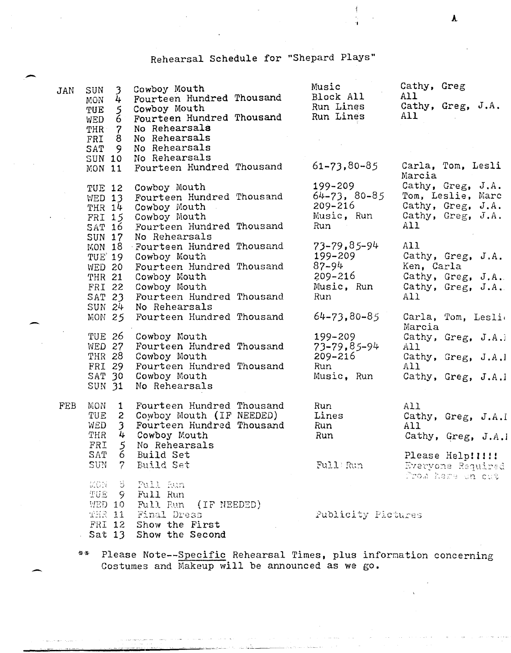# Rehearsal Schedule for "Shepard Plays"

|            |                                                                          | Rehearsal Schedule for "Shepard Plays"                                                                                                                                                                |                                                                   |                                                                                         |
|------------|--------------------------------------------------------------------------|-------------------------------------------------------------------------------------------------------------------------------------------------------------------------------------------------------|-------------------------------------------------------------------|-----------------------------------------------------------------------------------------|
| <b>JAN</b> | MON                                                                      | SUN 3 Cowboy Mouth<br>4 Fourteen Hundred Thousand<br>TUE 5 Cowboy Mouth<br>WED 6 Fourteen Hundred Thousand<br>THR 7 No Rehearsals<br>FRI 8 No Rehearsals<br>SAT 9 No Rehearsals                       | Music<br>Block All<br>Run Lines<br>Run Lines                      | Cathy, Greg<br>A11<br>Cathy, Greg, J.A.<br>A11                                          |
|            |                                                                          | SUN 10 No Rehearsals<br>MON 11 Fourteen Hundred Thousand                                                                                                                                              | $61 - 73, 80 - 85$                                                | Carla, Tom, Lesli<br>Marcia                                                             |
|            |                                                                          | TUE 12 Cowboy Mouth<br>WED 13 Fourteen Hundred Thousand<br>THR 14 Cowboy Mouth<br>FRI 15 Cowboy Mouth<br>SAT 16 Fourteen Hundred Thousand                                                             | 199–209<br>$64 - 73, 80 - 85$<br>$209 - 216$<br>Music, Run<br>Run | Cathy, Greg, J.A.<br>Tom, Leslie, Marc<br>Cathy, Greg, J.A.<br>Cathy, Greg, J.A.<br>A11 |
|            |                                                                          | SUN 17 No Rehearsals<br>MON 18 Fourteen Hundred Thousand<br>TUE 19 Cowboy Mouth<br>WED 20 Fourteen Hundred Thousand<br>THR 21 Cowboy Mouth<br>FRI 22 Cowboy Mouth<br>SAT 23 Fourteen Hundred Thousand | 73-79,85-94<br>199-209<br>87-94<br>209-216<br>Music, Run<br>Run   | A11<br>Cathy, Greg, J.A.<br>Ken, Carla<br>Cathy, Greg, J.A.<br>Cathy, Greg, J.A.<br>A11 |
|            |                                                                          | SUN 24 No Rehearsals<br>MON 25 Fourteen Hundred Thousand                                                                                                                                              | $64 - 73, 80 - 85$                                                | Carla, Tom, Lesli<br>Marcia                                                             |
|            |                                                                          | TUE 26 Cowboy Mouth<br>WED 27 Fourteen Hundred Thousand<br>THR 28 Cowboy Mouth<br>FRI 29 Fourteen Hundred Thousand<br>SAT 30 Cowboy Mouth<br>SUN 31 No Rehearsals                                     | 199-209<br>$73 - 79, 85 - 94$<br>209-216<br>Run<br>Music, Run     | Cathy, Greg, J.A.<br>All<br>Cathy, Greg, J.A.<br>All<br>Cathy, Greg, J.A.1              |
| FEB        | MON<br>$\mathbf{2}$<br>TUE<br>WED<br>$\mathfrak{Z}$<br>THR<br>FRI<br>SAT | 1 Fourteen Hundred Thousand<br>Cowboy Mouth (IF NEEDED)<br>Fourteen Hundred Thousand<br>4 Cowboy Mouth<br>5 No Rehearsals<br>6 Build Set                                                              | Run<br>Lines<br>Run<br>Run                                        | A11<br>Cathy, Greg, J.A.<br>All<br>Cathy, Greg, J.A.<br>Please Help! !!!!!              |
|            | SUN.<br>7 <sup>7</sup><br>WON.                                           | Build Set<br>-8 Full Run<br>TUE 9 Full Run<br>WED 10 Full Run<br>(IF NEEDED)<br>THR 11 Final Dress<br>FRI 12 Show the First<br>Sat 13 Show the Second                                                 | Full Run<br>Publicity Pictures                                    | Everyone Required<br>from here on out                                                   |
|            |                                                                          |                                                                                                                                                                                                       |                                                                   |                                                                                         |

 $\overline{\phantom{0}}$ 

 $\label{eq:1} \begin{array}{ll} \left\langle \left( \frac{1}{2} \hat{a} + \hat{a} \right) \right\rangle = \left\langle \left( \frac{1}{2} \hat{a} + \hat{a} \right) \right\rangle = \left\langle \hat{a} \right\rangle \left\langle \hat{a} + \hat{a} \right\rangle \end{array}$ 

\*\* Please Note--Specific Rehearsal Times, plus infornation concerning Costumes and Makeup will be announced as we go.

 $\pmb{\Lambda}$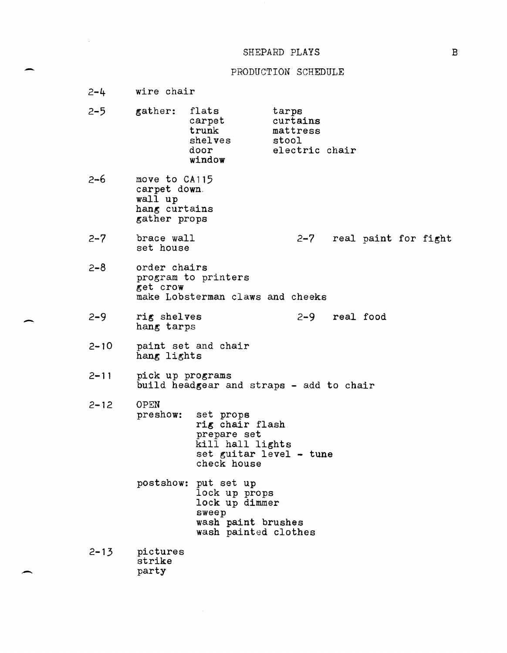#### SHEPARD PLAYS

#### PRODUCTION SCHEDULE

 $2 - 4$ wire chair

-

-

 $\overline{\phantom{0}}$ 

| $2 - 5$ | gather: | flats<br>carpet<br>trunk<br>shelves<br>door<br>window | tarps<br>curtains<br>mattress<br>stool<br>electric chair |
|---------|---------|-------------------------------------------------------|----------------------------------------------------------|
|---------|---------|-------------------------------------------------------|----------------------------------------------------------|

- 2-6 move to CA115 carpet down. wall up hang curtains gather props
- $2 7$ brace wall set house 2-7 real paint for fight
- 2-8 order chairs program to printers get crow make Lobsterman claws and cheeks
- 2-9 rig shelves hang tarps 2-9 real food
- $2 10$ paint set and chair hang lights
- $2 11$ pick up programs build headgear and straps - add to chair
- 2-12 OPEN<br>preshow: set props rig chair flash prepare set kill hall lights set guitar level - tune check house
	- postshow: put set up lock up props lock up dimmer sweep wash paint brushes wash painted clothes
- $2 13$ pictures strike party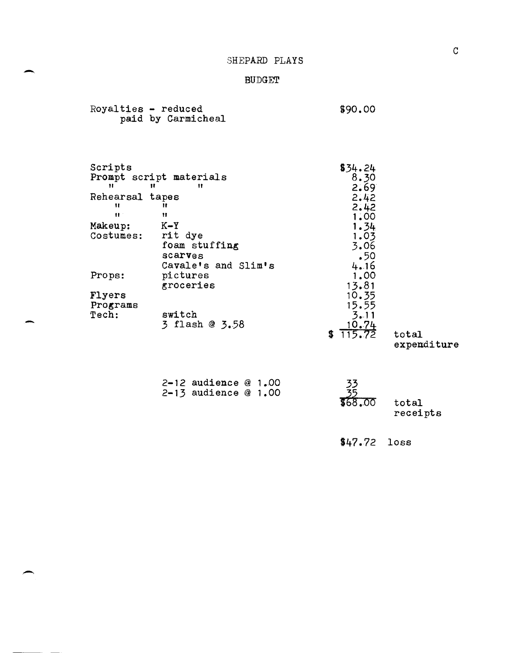## SHEPARD PLAYS

# BUDGET

-

-

 $\overline{\phantom{0}}$ 

| Royalties - reduced  | paid by Carmicheal              | \$90.00                |                      |
|----------------------|---------------------------------|------------------------|----------------------|
| Scripts<br>Ħ         | Prompt script materials<br>Ħ    | \$34.24<br>8.30        |                      |
| Rehearsal tapes<br>Ħ | Ħ<br>Ħ                          | 2.69<br>2.42           |                      |
| $\mathbf{H}$         | 11                              | 2.42<br>1.00           |                      |
| Makeup:              | $K - Y$                         | 1.34                   |                      |
| Costumes: rit dye    |                                 | 1.03                   |                      |
|                      | foam stuffing                   | 3.06                   |                      |
|                      | scarves                         | .50                    |                      |
| Props:               | Cavale's and Slim's<br>pictures | 4.16<br>1.00           |                      |
|                      | groceries                       | 13.81                  |                      |
| Flyers               |                                 | 10.35                  |                      |
| Programs             |                                 | 15.55                  |                      |
| ${\tt Tech:}$        | switch                          | 3.11                   |                      |
|                      | 3 flash @ 3.58                  | $\frac{10.74}{115.72}$ |                      |
|                      |                                 |                        | total<br>expenditure |
|                      |                                 |                        |                      |
|                      |                                 |                        |                      |
|                      | $2 - 12$ audience $@1.00$       |                        |                      |
|                      | $2 - 13$ audience $@1.00$       |                        |                      |
|                      |                                 |                        | total                |
|                      |                                 |                        | receipts             |

\$47.72 loss

 $\mathtt{C}$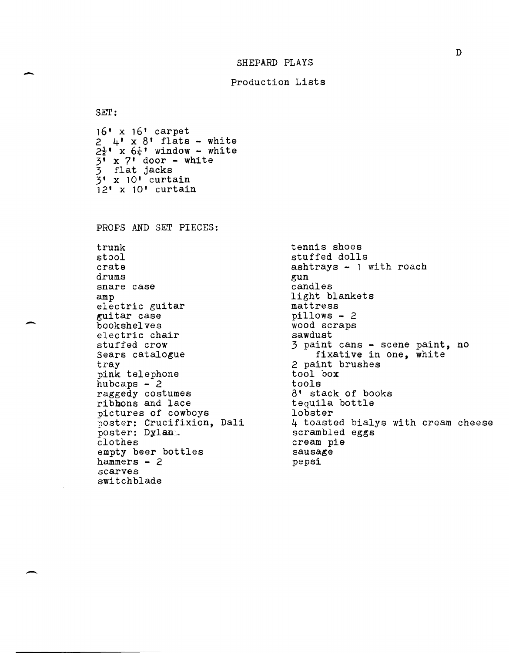-

--

-

#### Production Lists

SET: 16' x 16' carpet  $2\frac{1}{2}$ <sup>1</sup> x  $8$ <sup>1</sup> flats - white<br> $2\frac{1}{2}$ <sup>1</sup> x  $6\frac{1}{4}$ <sup>1</sup> window - white  $3'$  x  $7'$  door - white 3 flat jacks 3' x 10' curtain  $12'$  x  $10'$  curtain PROPS AND SET PIECES: trunk stool crate drums snare case amp electric guitar guitar case bookshelves electric chair stuffed crow Sears catalogue tray pink telephone hubcaps  $-2$ raggedy costumes ribbons and lace pictures of cowboys poster: Crucifixion, Dali poster: Dylan: clothes empty beer bottles hammers - 2 scarves switchblade tennis shoes stuffed dolls ashtrays - 1 with roach gun candles light blankets mattress pillows - 2 wood scraps sawdust 3 paint cans - scene paint, no fixative in one, white 2 paint brushes tool box tools 8' stack of books tequila bottle lobster 4 toasted bialys with cream cheese scrambled eggs cream pie sausage pepsi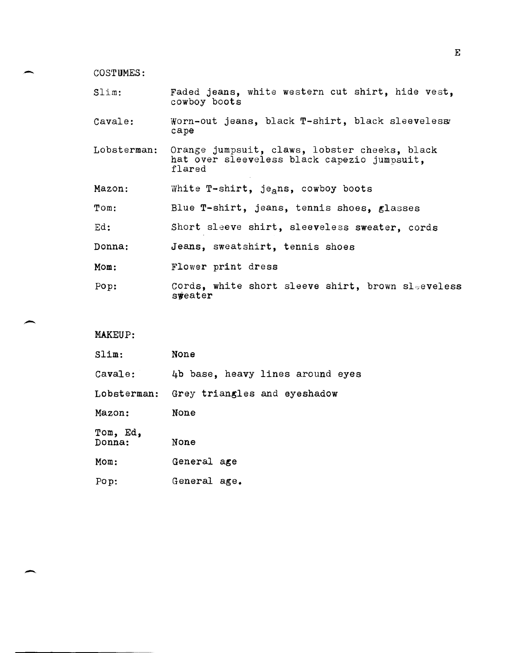cos'rUMES:

- Slim: Faded jeans, white western cut shirt, hide vest, cowboy boots
- Cavale: Worn-out jeans, black T-shirt, black sleeveless cape
- Lobsterman: Orange jumpsuit, claws, lobster cheeks, black hat over sleeveless black capezio jumpsuit, flared
- Mazon: White T-shirt, jeans, cowboy boots
- Tom: Blue T-shirt, jeans, tennis shoes, glasses
- Ed: Short sleeve shirt, sleeveless sweater, cords
- Donna: Jeans, sweatshirt, tennis shoes
- Mom: Flower print dress
- Pop: Cords, white short sleeve shirt, brown sleeveless sweater

MAKEUP:

-

 $\overline{\phantom{0}}$ 

| Slim:              | None                             |
|--------------------|----------------------------------|
| Cavale:            | 4b base, heavy lines around eyes |
| Lobsterman:        | Grey triangles and eyeshadow     |
| Mazon:             | None                             |
| Tom, Ed,<br>Donna: | None                             |
| Mom:               | General age                      |

Pop: General age.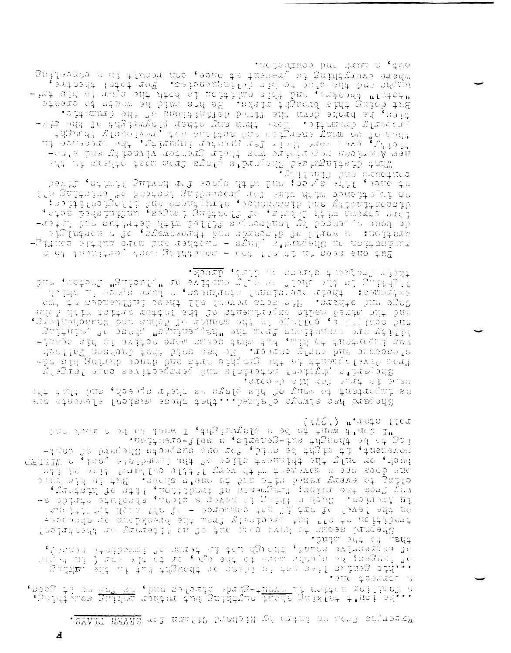. SYARI REVNE TOT nantit bradsid yd orthi na mont styresty

e transport in region of the Sande of the companies of the Post to the seat.<br>\*\*\* The Paper Pink and the standard part in the form in the same part of the South And the South South South S

Shepard seem to huve concloured in literary or insperior. 'puiw su4 c4 reu4 di ezube arbeida donuç' (pontprint por perma ol prasepere seuak)' ( းသည်ရေး ဟာ ၂ ဟယ်။ ခဏ္ဍ ပိန္းဟင္း အလံချခံမွာ ရေနံုး မဟုတ္ေအာင္ခံရွိ အခုအစုသည္ မွဳပ Suivar bus we and sushous ac obset or sea sert shrues stuff. 'euc 40erica s

tuotive.to-files e 'streve3-ths ingloup eq of 3ut -tues to burger in the service out out one satisfied against the subset-Depel, or and the thinking and the number of seats a withing τια. Το οπης γεπτέπο στην Λασά της μετασκοπίε στο εσορίστο ogrué po exera navec urbe ric po one, a apoes. Rapiru pra coso<br>wod twom ppe narua: tradmenta or programa, prpa or prapond. -s aptital afnicular theological states and special after a-loon the least dens fit has somewhere - or the range than the state Abotibade de oneprasio equinous Afostobas lang ffo de veratoua

(1261) atmas flor pus hour a ser e sa ca atum I 'australe' sa se oi aum a roca In

tatoobe punk to punk steater sun pustant as estimate also have a site of the seep. Surg. Surg. Ste atnemede fabianm eaedt tedt...bemirfe agawie aad bregon2

thetr Protusnt stress on diret, and the same or "placing" foutbay, and<br>the Proton is stress of the conditions of "placing" foutbay and expedient ppersonatous researcheser and personal public rights cm, is secretlini osedi IIs febrer ates sill .exediences of to and the misse medie experiments of the lutter strew that the Holm  $\sim 2$ daquniyayin  $\epsilon$   $\sim 5$ j $_{\rm 1.4}$  a $_{\rm 2.4}$  ay $_{\rm 4.4}$  ay  $_{\rm 5.4}$  and  $_{\rm 6.4}$  and  $_{\rm 6.4}$  $\beta$ upad je saegd "s $\beta$ upaddag, sų vedį stopputaus sis Apppų Thom developments the graphic arts and dance during his of-<br>olescance and early coreer. He has said that Juckson Pollock<br>var important to him, but what geams more cottve is his sample . Visguel and savithough and since  $\mathbb{R}^n$  properties considering

gener, hijd for die de hij stie the post under the post in the te ilu Surprus de pesteur Surpeescud los sant utim souertalur un sterion: c world of experiment and throwsway of a nostealed  $-$ git $x$ o sl $t$ duo stem bas tedacus – syn $L_x$  s'bangen ao noitennt.  $\mathbb{R}^3$  or available and survey and  $\mathbb{R}^3$  or  $\mathbb{R}^3$  or a survey and  $\mathbb{R}^3$ 

'ue tengues pui nimme 'ano Ruffeonso e ut 4 pasou uno 'esto 48 insection Supulfacone eusqu mithre exq phe ofne to pru dolindreverer mot bobel prestre.<br>Aportia gocative and thre emprition is poth the sins to pre-trisiesto of situal su pres seu sh lexata idadean arui Guiop ind pres, he broke down the frict definitions of the dramstic.  $\frac{1}{2}c_1$   $\frac{1}{2}c_2$  east superfine and  $\frac{1}{2}c_3$  in  $\frac{1}{2}c_4$  in  $\frac{1}{2}c_5$  in  $\frac{1}{2}c_6$  in  $\frac{1}{2}c_7$  in  $\frac{1}{2}c_8$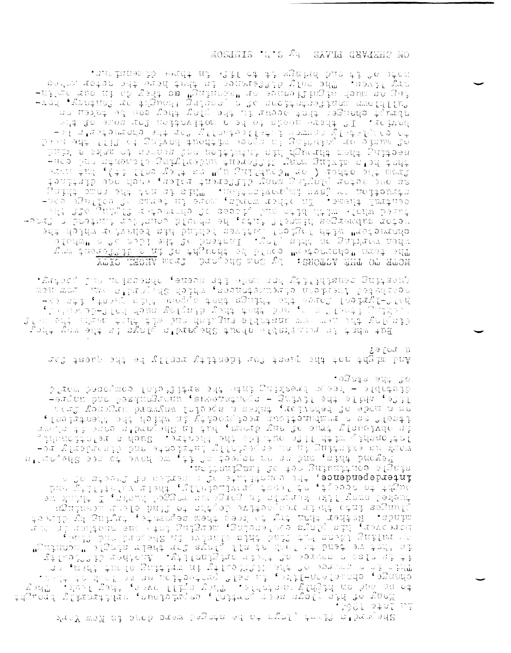van wow as each executed be stated as a component would be local

Peyond this, one can on the control of the hove to see Shelman's uorpourder i po 40. Iannių nos elsare o je stočaj je nativa a je vivijitiča vil f**obuopuodopiolut** ກະທ່ຽງຫຼຸງຄຸດເຮົາ ມີຊົ່ງຄວາມເຊິ່ງຂອງກ່າວການເຊິ່ງກ່າວວ່າ ເຈົ້າເຊິ່ງຂອງ  $\mathbb{R}^n$  on  $\mathbb{R}^n$  . The  $\mathbb{R}^n$  positive  $\mathbb{R}^n$  is  $\mathbb{R}^n$  in  $\mathbb{R}^n$  is  $\mathbb{R}^n$  if  $\mathbb{R}^n$  is a set if  $\mathbb{R}^n$ mining triangle plans of antion avitable is that claim committee wings. Kapter phan tri the philes of the second of tring by direct<br>worearcry, his plays conferences, werging into me anopher in our<br>world have his cred the create sine relate in the creater creater. τε μρέτι με τρατο του διαφορού της διαφοράς του τρατο έχει της πέσπασης.<br>ττις το έτριο ο αυσικός του μμεται στις στον τρατο του στο τρατο κατάλ is the second of his state and the second state of the second second the second second second second second second second second second second second second second second second second second second second second second se 'D961 942I VI

'⊖3v4s etg go birow basogmoo Tolofilitas add ofni ghideeni sgaaf - afdriofb salun put paz puaktum 'sheavernois - Ruinti eur elium 'esti st w woch go peparton' popez s zbech man nisang nisang nasar pperson a mamphores one concluded to mappy pperson also approximated  $\ell$ smargs 41 acts spredsug th 4nd 'smarg fue je smar fishenke ្នាំរបស់ពីក្រុងព្រៃ ៣ ខែ ស្រុក ស្រុក ស្រុក ស្រុក ស្រុក ស្រុក ស្រុក ស្រុក ស្រុក ស្រុក ស្រុក ស្រុក ស្រុក ស្រុក ស -əx Aşkoputuşp pus əşkotulur. Ayyosadas ve ut Sutiziks on göca

Se foi s guy might not the heat for reentriff neefly to for onest for

*Aagood pus t*ugsobagu feueda sag epen sug Aggliqismes Suigsond wear wat interesting and significated indicated and the interesting to the moment real and . Saturnabel fri door velgelb vádt dndt ban . Tallett Sližear<br>Exa sti (taaly cint annage dedi synthi adt sorel footryletting a ten seja siltem at int atas dan gunu zus selastan we will bet yorken.<br>Abda yar siltem at int at bara substance stastanlar it tans tull

tate para regions and range rules in the creeker in sation notes. The easy difference in their here refer to the section enser and the College food means of the method finds would like ນ ແລະ ຕຸມອກໂຮຍ ໄຊມີຢູ່ ກ່ອງເກີດ ຊຸມອຸດ ມຸມຊຸມ ກ່ອນ ກຄຳອົງຂະຫຍາຍ ແລະ saint. If there needs to be a motivation for some of the .<br>ເຊິ່ວ ກ່າວຊະການ ເຫດການເຂົ້າເຊຍງາຍເຫດການ ຂ້າມຊື່ຊານຈະເອກສອງຂອງແຕ່ ເຊິ່ງ ເອ Dennieui (113 61 Suincy Inouila esta ui Symana ao Siana Jo portr a skem ci seconde noti tudae di discondenti scheke e king.<br>Portr a skem di secondenti di discondenti maggiori di segli fonttatb enc flore (aeler thereflib ynnm ghryslŷ retos enc as<br>from the (th Hoo yelt se "qu ghildwo" re ) redto eft mer?<br>the star star sin saturates therefore them shitte star Surgi owes on his more than the concentration of the component central districts of the price of the second service of the second second second the second second second second second second second second second second second second second second second second second second second seco -ခံစေနဲ့ မိုက္ကားမည္ေတြကို အတြက္ ဦးစုံေရး ရွင္းရွင္ ရက္ေတြကို ေတြကို ေတြကို ေလာက္ေတြကို ομέπασιο κάμματιστική προσφαλία της προσφαλής προσφαλής και του του.<br>προσφαλίστηκε σε πριτε (102. Ιστορείς σε την προσφαλία του του προσφα List a consequent of the complete parties are prime of parallel and the MOUR LO THE VELORE: FA BES BEST PLAN TO VEGET CILLE

#### MOSCHITS 'G'S A4 SAVIE GRYJEHT NO